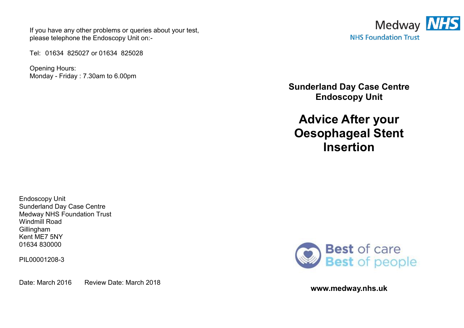If you have any other problems or queries about your test, please telephone the Endoscopy Unit on:-

Tel: 01634 825027 or 01634 825028

Opening Hours: Monday - Friday : 7.30am to 6.00pm



**Sunderland Day Case Centre Endoscopy Unit** 

**Advice After your Oesophageal Stent Insertion** 

Endoscopy Unit Sunderland Day Case Centre Medway NHS Foundation Trust Windmill Road Gillingham Kent ME7 5NY 01634 830000

PIL00001208-3

Date: March 2016 Review Date: March 2018



**www.medway.nhs.uk**